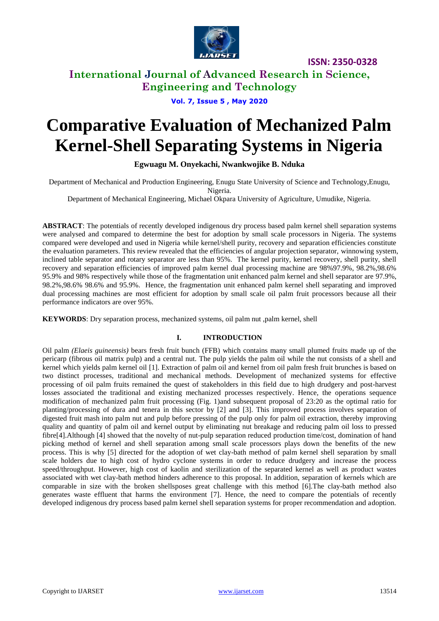

**ISSN: 2350-0328**

# **International Journal of Advanced Research in Science, Engineering and Technology**

## **Vol. 7, Issue 5 , May 2020**

# **Comparative Evaluation of Mechanized Palm Kernel-Shell Separating Systems in Nigeria**

**Egwuagu M. Onyekachi, Nwankwojike B. Nduka**

Department of Mechanical and Production Engineering, Enugu State University of Science and Technology,Enugu, Nigeria.

Department of Mechanical Engineering, Michael Okpara University of Agriculture, Umudike, Nigeria.

**ABSTRACT**: The potentials of recently developed indigenous dry process based palm kernel shell separation systems were analysed and compared to determine the best for adoption by small scale processors in Nigeria. The systems compared were developed and used in Nigeria while kernel/shell purity, recovery and separation efficiencies constitute the evaluation parameters. This review revealed that the efficiencies of angular projection separator, winnowing system, inclined table separator and rotary separator are less than 95%. The kernel purity, kernel recovery, shell purity, shell recovery and separation efficiencies of improved palm kernel dual processing machine are 98%97.9%, 98.2%,98.6% 95.9% and 98% respectively while those of the fragmentation unit enhanced palm kernel and shell separator are 97.9%, 98.2%,98.6% 98.6% and 95.9%. Hence, the fragmentation unit enhanced palm kernel shell separating and improved dual processing machines are most efficient for adoption by small scale oil palm fruit processors because all their performance indicators are over 95%.

**KEYWORDS**: Dry separation process, mechanized systems, oil palm nut ,palm kernel, shell

## **I. INTRODUCTION**

Oil palm *(Elaeis guineensis)* bears fresh fruit bunch (FFB) which contains many small plumed fruits made up of the pericarp (fibrous oil matrix pulp) and a central nut. The pulp yields the palm oil while the nut consists of a shell and kernel which yields palm kernel oil [1]. Extraction of palm oil and kernel from oil palm fresh fruit brunches is based on two distinct processes, traditional and mechanical methods. Development of mechanized systems for effective processing of oil palm fruits remained the quest of stakeholders in this field due to high drudgery and post-harvest losses associated the traditional and existing mechanized processes respectively. Hence, the operations sequence modification of mechanized palm fruit processing (Fig. 1)and subsequent proposal of 23:20 as the optimal ratio for planting/processing of dura and tenera in this sector by [2] and [3]. This improved process involves separation of digested fruit mash into palm nut and pulp before pressing of the pulp only for palm oil extraction, thereby improving quality and quantity of palm oil and kernel output by eliminating nut breakage and reducing palm oil loss to pressed fibre[4].Although [4] showed that the novelty of nut-pulp separation reduced production time/cost, domination of hand picking method of kernel and shell separation among small scale processors plays down the benefits of the new process. This is why [5] directed for the adoption of wet clay-bath method of palm kernel shell separation by small scale holders due to high cost of hydro cyclone systems in order to reduce drudgery and increase the process speed/throughput. However, high cost of kaolin and sterilization of the separated kernel as well as product wastes associated with wet clay-bath method hinders adherence to this proposal. In addition, separation of kernels which are comparable in size with the broken shellsposes great challenge with this method [6].The clay-bath method also generates waste effluent that harms the environment [7]. Hence, the need to compare the potentials of recently developed indigenous dry process based palm kernel shell separation systems for proper recommendation and adoption.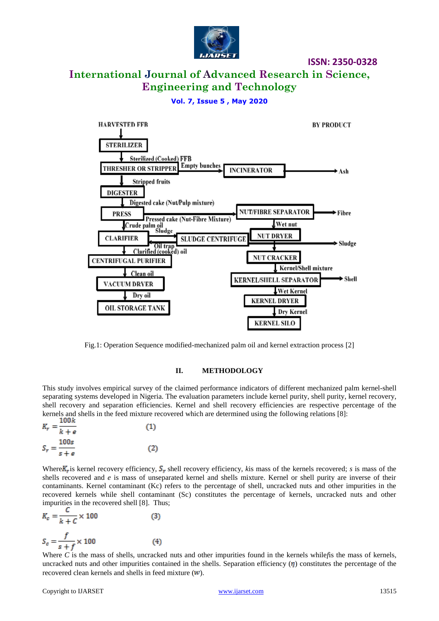

**ISSN: 2350-0328**

# **International Journal of Advanced Research in Science, Engineering and Technology**

## **Vol. 7, Issue 5 , May 2020**



Fig.1: Operation Sequence modified-mechanized palm oil and kernel extraction process [2]

#### **II. METHODOLOGY**

This study involves empirical survey of the claimed performance indicators of different mechanized palm kernel-shell separating systems developed in Nigeria. The evaluation parameters include kernel purity, shell purity, kernel recovery, shell recovery and separation efficiencies. Kernel and shell recovery efficiencies are respective percentage of the kernels and shells in the feed mixture recovered which are determined using the following relations [8]:

| <b>TOOK</b><br>$K_r = \frac{k}{k+e}$ | (1) |
|--------------------------------------|-----|
| 100s                                 |     |
| $S_r = \frac{1}{s+e}$                | (2) |

Where  $K_r$  is kernel recovery efficiency,  $S_r$  shell recovery efficiency, *k*is mass of the kernels recovered; *s* is mass of the shells recovered and *e* is mass of unseparated kernel and shells mixture. Kernel or shell purity are inverse of their contaminants. Kernel contaminant (Kc) refers to the percentage of shell, uncracked nuts and other impurities in the recovered kernels while shell contaminant (Sc) constitutes the percentage of kernels, uncracked nuts and other impurities in the recovered shell [8]. Thus;

$$
K_c = \frac{c}{k + C} \times 100
$$
 (3)  

$$
S_c = \frac{f}{s + f} \times 100
$$
 (4)

Where *C* is the mass of shells, uncracked nuts and other impurities found in the kernels while*f*is the mass of kernels, uncracked nuts and other impurities contained in the shells. Separation efficiency  $(\eta)$  constitutes the percentage of the recovered clean kernels and shells in feed mixture  $(w)$ .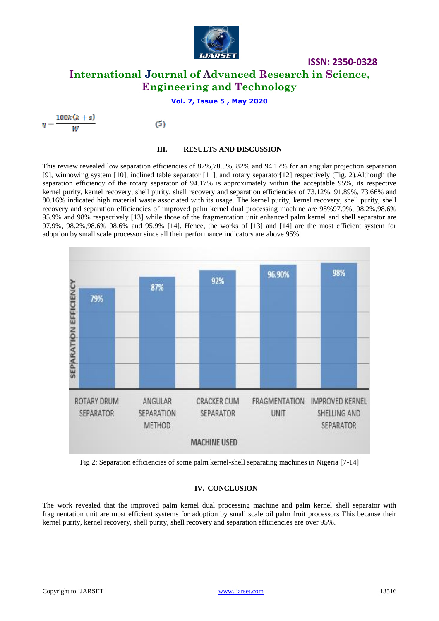

# **ISSN: 2350-0328 International Journal of Advanced Research in Science, Engineering and Technology**

## **Vol. 7, Issue 5 , May 2020**

 $\eta = \frac{100k(k+s)}{W}$ 

 $(5)$ 

#### **III. RESULTS AND DISCUSSION**

This review revealed low separation efficiencies of 87%,78.5%, 82% and 94.17% for an angular projection separation [9], winnowing system [10], inclined table separator [11], and rotary separator[12] respectively (Fig. 2).Although the separation efficiency of the rotary separator of 94.17% is approximately within the acceptable 95%, its respective kernel purity, kernel recovery, shell purity, shell recovery and separation efficiencies of 73.12%, 91.89%, 73.66% and 80.16% indicated high material waste associated with its usage. The kernel purity, kernel recovery, shell purity, shell recovery and separation efficiencies of improved palm kernel dual processing machine are 98%97.9%, 98.2%,98.6% 95.9% and 98% respectively [13] while those of the fragmentation unit enhanced palm kernel and shell separator are 97.9%, 98.2%,98.6% 98.6% and 95.9% [14]. Hence, the works of [13] and [14] are the most efficient system for adoption by small scale processor since all their performance indicators are above 95%



Fig 2: Separation efficiencies of some palm kernel-shell separating machines in Nigeria [7-14]

## **IV. CONCLUSION**

The work revealed that the improved palm kernel dual processing machine and palm kernel shell separator with fragmentation unit are most efficient systems for adoption by small scale oil palm fruit processors This because their kernel purity, kernel recovery, shell purity, shell recovery and separation efficiencies are over 95%.